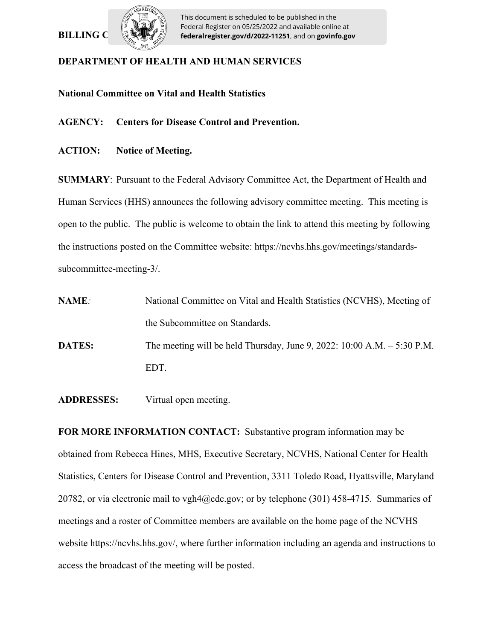## **BILLING C**



This document is scheduled to be published in the Federal Register on 05/25/2022 and available online at **federalregister.gov/d/2022-11251**, and on **govinfo.gov**

## **DEPARTMENT OF HEALTH AND HUMAN SERVICES**

**National Committee on Vital and Health Statistics**

**AGENCY: Centers for Disease Control and Prevention.**

**ACTION: Notice of Meeting.** 

**SUMMARY**: Pursuant to the Federal Advisory Committee Act, the Department of Health and Human Services (HHS) announces the following advisory committee meeting. This meeting is open to the public. The public is welcome to obtain the link to attend this meeting by following the instructions posted on the Committee website: https://ncvhs.hhs.gov/meetings/standardssubcommittee-meeting-3/.

**NAME***:* National Committee on Vital and Health Statistics (NCVHS), Meeting of the Subcommittee on Standards. **DATES:** The meeting will be held Thursday, June 9, 2022: 10:00 A.M. – 5:30 P.M. EDT.

**ADDRESSES:** Virtual open meeting.

**FOR MORE INFORMATION CONTACT:** Substantive program information may be obtained from Rebecca Hines, MHS, Executive Secretary, NCVHS, National Center for Health Statistics, Centers for Disease Control and Prevention, 3311 Toledo Road, Hyattsville, Maryland 20782, or via electronic mail to vgh4@cdc.gov; or by telephone (301) 458-4715. Summaries of meetings and a roster of Committee members are available on the home page of the NCVHS website https://ncvhs.hhs.gov/, where further information including an agenda and instructions to access the broadcast of the meeting will be posted.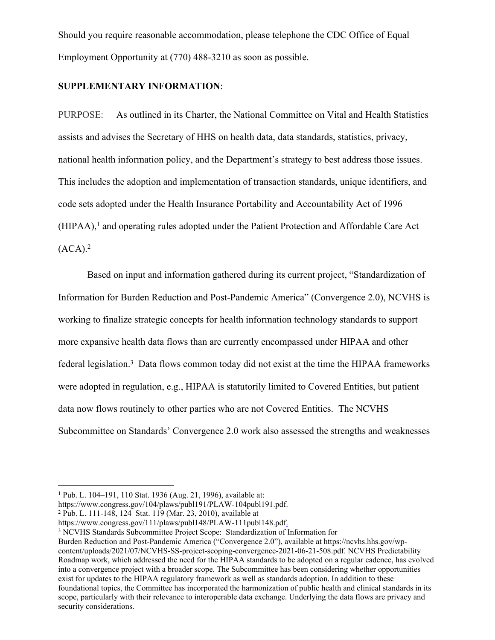Should you require reasonable accommodation, please telephone the CDC Office of Equal Employment Opportunity at (770) 488-3210 as soon as possible.

### **SUPPLEMENTARY INFORMATION**:

PURPOSE: As outlined in its Charter, the National Committee on Vital and Health Statistics assists and advises the Secretary of HHS on health data, data standards, statistics, privacy, national health information policy, and the Department's strategy to best address those issues. This includes the adoption and implementation of transaction standards, unique identifiers, and code sets adopted under the Health Insurance Portability and Accountability Act of 1996 (HIPAA),<sup>1</sup> and operating rules adopted under the Patient Protection and Affordable Care Act  $(ACA).<sup>2</sup>$ 

Based on input and information gathered during its current project, "Standardization of Information for Burden Reduction and Post-Pandemic America" (Convergence 2.0), NCVHS is working to finalize strategic concepts for health information technology standards to support more expansive health data flows than are currently encompassed under HIPAA and other federal legislation.<sup>3</sup> Data flows common today did not exist at the time the HIPAA frameworks were adopted in regulation, e.g., HIPAA is statutorily limited to Covered Entities, but patient data now flows routinely to other parties who are not Covered Entities. The NCVHS Subcommittee on Standards' Convergence 2.0 work also assessed the strengths and weaknesses

<sup>3</sup> NCVHS Standards Subcommittee Project Scope: Standardization of Information for

Burden Reduction and Post-Pandemic America ("Convergence 2.0"), available at https://ncvhs.hhs.gov/wpcontent/uploads/2021/07/NCVHS-SS-project-scoping-convergence-2021-06-21-508.pdf. NCVHS Predictability Roadmap work, which addressed the need for the HIPAA standards to be adopted on a regular cadence, has evolved into a convergence project with a broader scope. The Subcommittee has been considering whether opportunities exist for updates to the HIPAA regulatory framework as well as standards adoption. In addition to these foundational topics, the Committee has incorporated the harmonization of public health and clinical standards in its scope, particularly with their relevance to interoperable data exchange. Underlying the data flows are privacy and security considerations.

<sup>1</sup> Pub. L. 104–191, 110 Stat. 1936 (Aug. 21, 1996), available at:

https://www.congress.gov/104/plaws/publ191/PLAW-104publ191.pdf.

<sup>2</sup> Pub. L. 111-148, 124 Stat. 119 (Mar. 23, 2010), available at

https://www.congress.gov/111/plaws/publ148/PLAW-111publ148.pdf.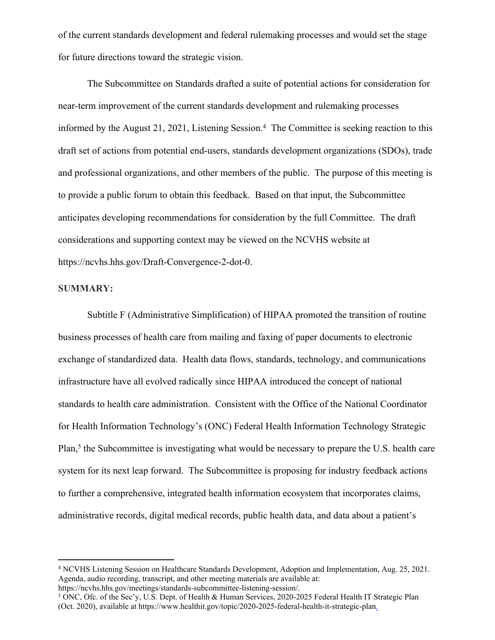of the current standards development and federal rulemaking processes and would set the stage for future directions toward the strategic vision.

The Subcommittee on Standards drafted a suite of potential actions for consideration for near-term improvement of the current standards development and rulemaking processes informed by the August 21, 2021, Listening Session.<sup>4</sup> The Committee is seeking reaction to this draft set of actions from potential end-users, standards development organizations (SDOs), trade and professional organizations, and other members of the public. The purpose of this meeting is to provide a public forum to obtain this feedback. Based on that input, the Subcommittee anticipates developing recommendations for consideration by the full Committee. The draft considerations and supporting context may be viewed on the NCVHS website at https://ncvhs.hhs.gov/Draft-Convergence-2-dot-0.

#### **SUMMARY:**

Subtitle F (Administrative Simplification) of HIPAA promoted the transition of routine business processes of health care from mailing and faxing of paper documents to electronic exchange of standardized data. Health data flows, standards, technology, and communications infrastructure have all evolved radically since HIPAA introduced the concept of national standards to health care administration. Consistent with the Office of the National Coordinator for Health Information Technology's (ONC) Federal Health Information Technology Strategic Plan,<sup>5</sup> the Subcommittee is investigating what would be necessary to prepare the U.S. health care system for its next leap forward. The Subcommittee is proposing for industry feedback actions to further a comprehensive, integrated health information ecosystem that incorporates claims, administrative records, digital medical records, public health data, and data about a patient's

https://ncvhs.hhs.gov/meetings/standards-subcommittee-listening-session/.

<sup>4</sup> NCVHS Listening Session on Healthcare Standards Development, Adoption and Implementation, Aug. 25, 2021. Agenda, audio recording, transcript, and other meeting materials are available at:

<sup>&</sup>lt;sup>5</sup> ONC, Ofc. of the Sec'y, U.S. Dept. of Health & Human Services, 2020-2025 Federal Health IT Strategic Plan (Oct. 2020), available at https://www.healthit.gov/topic/2020-2025-federal-health-it-strategic-plan.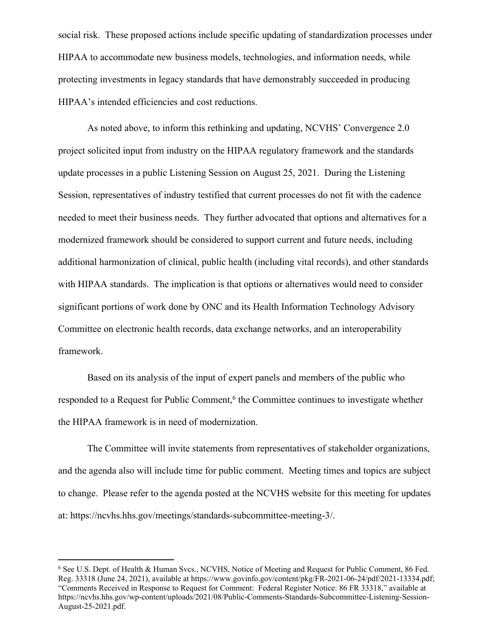social risk. These proposed actions include specific updating of standardization processes under HIPAA to accommodate new business models, technologies, and information needs, while protecting investments in legacy standards that have demonstrably succeeded in producing HIPAA's intended efficiencies and cost reductions.

As noted above, to inform this rethinking and updating, NCVHS' Convergence 2.0 project solicited input from industry on the HIPAA regulatory framework and the standards update processes in a public Listening Session on August 25, 2021. During the Listening Session, representatives of industry testified that current processes do not fit with the cadence needed to meet their business needs. They further advocated that options and alternatives for a modernized framework should be considered to support current and future needs, including additional harmonization of clinical, public health (including vital records), and other standards with HIPAA standards. The implication is that options or alternatives would need to consider significant portions of work done by ONC and its Health Information Technology Advisory Committee on electronic health records, data exchange networks, and an interoperability framework.

Based on its analysis of the input of expert panels and members of the public who responded to a Request for Public Comment,<sup>6</sup> the Committee continues to investigate whether the HIPAA framework is in need of modernization.

The Committee will invite statements from representatives of stakeholder organizations, and the agenda also will include time for public comment. Meeting times and topics are subject to change. Please refer to the agenda posted at the NCVHS website for this meeting for updates at: https://ncvhs.hhs.gov/meetings/standards-subcommittee-meeting-3/.

<sup>6</sup> See U.S. Dept. of Health & Human Svcs., NCVHS, Notice of Meeting and Request for Public Comment, 86 Fed. Reg. 33318 (June 24, 2021), available at https://www.govinfo.gov/content/pkg/FR-2021-06-24/pdf/2021-13334.pdf; "Comments Received in Response to Request for Comment: Federal Register Notice: 86 FR 33318," available at https://ncvhs.hhs.gov/wp-content/uploads/2021/08/Public-Comments-Standards-Subcommittee-Listening-Session-August-25-2021.pdf.